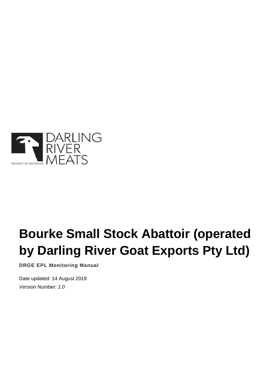

# **Bourke Small Stock Abattoir (operated by Darling River Goat Exports Pty Ltd)**

**DRGE EPL Monitoring Manual**

Date updated: 14 August 2019 *Version Number: 1.0*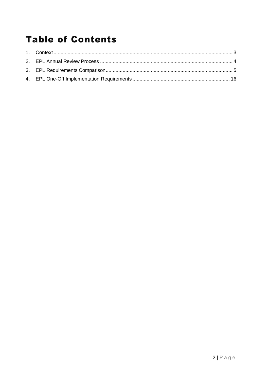## **Table of Contents**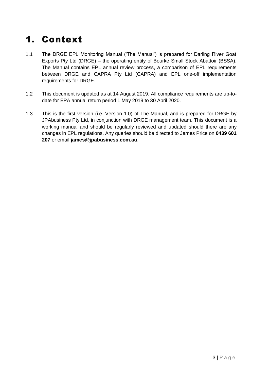## <span id="page-2-0"></span>1. Context

- 1.1 The DRGE EPL Monitoring Manual ('The Manual') is prepared for Darling River Goat Exports Pty Ltd (DRGE) – the operating entity of Bourke Small Stock Abattoir (BSSA). The Manual contains EPL annual review process, a comparison of EPL requirements between DRGE and CAPRA Pty Ltd (CAPRA) and EPL one-off implementation requirements for DRGE.
- 1.2 This document is updated as at 14 August 2019. All compliance requirements are up-todate for EPA annual return period 1 May 2019 to 30 April 2020.
- 1.3 This is the first version (i.e. Version 1.0) of The Manual, and is prepared for DRGE by JPAbusiness Pty Ltd, in conjunction with DRGE management team. This document is a working manual and should be regularly reviewed and updated should there are any changes in EPL regulations. Any queries should be directed to James Price on **0439 601 207** or email **james@jpabusiness.com.au**.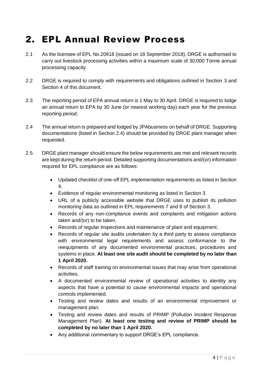#### <span id="page-3-0"></span>2. EPL Annual Review Process

- 2.1 As the licensee of EPL No.20918 (issued on 18 September 2018), DRGE is authorised to carry out livestock processing activities within a maximum scale of 30,000 Tonne annual processing capacity.
- 2.2 DRGE is required to comply with requirements and obligations outlined in Section 3 and Section 4 of this document.
- 2.3 The reporting period of EPA annual return is 1 May to 30 April. DRGE is required to lodge an annual return to EPA by 30 June (or nearest working day) each year for the previous reporting period.
- 2.4 The annual return is prepared and lodged by JPAbusiness on behalf of DRGE. Supporting documentations (listed in Section 2.4) should be provided by DRGE plant manager when requested.
- 2.5 DRGE plant manager should ensure the below requirements are met and relevant records are kept during the return period. Detailed supporting documentations and/(or) information required for EPL compliance are as follows:
	- Updated checklist of one-off EPL implementation requirements as listed in Section 4.
	- Evidence of regular environmental monitoring as listed in Section 3.
	- URL of a publicly accessible website that DRGE uses to publish its pollution monitoring data as outlined in EPL requirements 7 and 8 of Section 3.
	- Records of any non-compliance events and complaints and mitigation actions taken and/(or) to be taken.
	- Records of regular inspections and maintenance of plant and equipment.
	- Records of regular site audits undertaken by a third party to assess compliance with environmental legal requirements and assess conformance to the reequipments of any documented environmental practices, procedures and systems in place. **At least one site audit should be completed by no later than 1 April 2020.**
	- Records of staff training on environmental issues that may arise from operational activities.
	- A documented environmental review of operational activities to identity any aspects that have a potential to cause environmental impacts and operational controls implemented.
	- Testing and review dates and results of an environmental improvement or management plan.
	- Testing and review dates and results of PRIMP (Pollution Incident Response Management Plan). **At least one testing and review of PRIMP should be completed by no later than 1 April 2020.**
	- Any additional commentary to support DRGE's EPL compliance.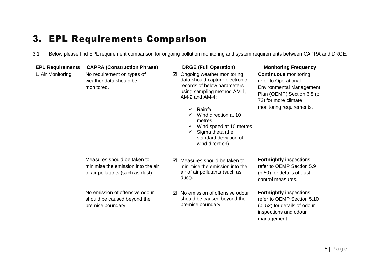## 3. EPL Requirements Comparison

3.1 Below please find EPL requirement comparison for ongoing pollution monitoring and system requirements between CAPRA and DRGE.

<span id="page-4-0"></span>

| <b>EPL Requirements</b> | <b>CAPRA (Construction Phrase)</b>                                                                     | <b>DRGE (Full Operation)</b>                                                                                                                                       | <b>Monitoring Frequency</b>                                                                                                                     |
|-------------------------|--------------------------------------------------------------------------------------------------------|--------------------------------------------------------------------------------------------------------------------------------------------------------------------|-------------------------------------------------------------------------------------------------------------------------------------------------|
| 1. Air Monitoring       | No requirement on types of<br>weather data should be<br>monitored.                                     | Ongoing weather monitoring<br>☑<br>data should capture electronic<br>records of below parameters<br>using sampling method AM-1,<br>AM-2 and AM-4:                  | <b>Continuous</b> monitoring;<br>refer to Operational<br><b>Environmental Management</b><br>Plan (OEMP) Section 6.8 (p.<br>72) for more climate |
|                         |                                                                                                        | Rainfall<br>$\checkmark$<br>Wind direction at 10<br>metres<br>$\checkmark$ Wind speed at 10 metres<br>Sigma theta (the<br>standard deviation of<br>wind direction) | monitoring requirements.                                                                                                                        |
|                         | Measures should be taken to<br>minimise the emission into the air<br>of air pollutants (such as dust). | Measures should be taken to<br>☑<br>minimise the emission into the<br>air of air pollutants (such as<br>dust).                                                     | <b>Fortnightly inspections;</b><br>refer to OEMP Section 5.9<br>(p.50) for details of dust<br>control measures.                                 |
|                         | No emission of offensive odour<br>should be caused beyond the<br>premise boundary.                     | No emission of offensive odour<br>☑<br>should be caused beyond the<br>premise boundary.                                                                            | <b>Fortnightly inspections;</b><br>refer to OEMP Section 5.10<br>(p. 52) for details of odour<br>inspections and odour<br>management.           |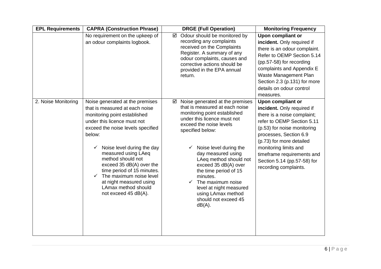| <b>EPL Requirements</b> | <b>CAPRA (Construction Phrase)</b>                                                                                                                                                                                                                                                                                                                                                                                            | <b>DRGE (Full Operation)</b>                                                                                                                                                                                                                                                                                                                                                                                                                        | <b>Monitoring Frequency</b>                                                                                                                                                                                                                                                                                             |
|-------------------------|-------------------------------------------------------------------------------------------------------------------------------------------------------------------------------------------------------------------------------------------------------------------------------------------------------------------------------------------------------------------------------------------------------------------------------|-----------------------------------------------------------------------------------------------------------------------------------------------------------------------------------------------------------------------------------------------------------------------------------------------------------------------------------------------------------------------------------------------------------------------------------------------------|-------------------------------------------------------------------------------------------------------------------------------------------------------------------------------------------------------------------------------------------------------------------------------------------------------------------------|
|                         | No requirement on the upkeep of<br>an odour complaints logbook.                                                                                                                                                                                                                                                                                                                                                               | Odour should be monitored by<br>☑<br>recording any complaints<br>received on the Complaints<br>Register. A summary of any<br>odour complaints, causes and<br>corrective actions should be<br>provided in the EPA annual<br>return.                                                                                                                                                                                                                  | Upon compliant or<br>incident. Only required if<br>there is an odour complaint.<br>Refer to OEMP Section 5.14<br>(pp.57-58) for recording<br>complaints and Appendix E<br>Waste Management Plan<br>Section 2.3 (p.131) for more<br>details on odour control<br>measures.                                                |
| 2. Noise Monitoring     | Noise generated at the premises<br>that is measured at each noise<br>monitoring point established<br>under this licence must not<br>exceed the noise levels specified<br>below:<br>Noise level during the day<br>measured using LAeq<br>method should not<br>exceed 35 dB(A) over the<br>time period of 15 minutes.<br>The maximum noise level<br>✓<br>at night measured using<br>LAmax method should<br>not exceed 45 dB(A). | Noise generated at the premises<br>☑<br>that is measured at each noise<br>monitoring point established<br>under this licence must not<br>exceed the noise levels<br>specified below:<br>Noise level during the<br>day measured using<br>LAeq method should not<br>exceed 35 dB(A) over<br>the time period of 15<br>minutes.<br>$\checkmark$ The maximum noise<br>level at night measured<br>using LAmax method<br>should not exceed 45<br>$dB(A)$ . | <b>Upon compliant or</b><br>incident. Only required if<br>there is a noise complaint;<br>refer to OEMP Section 5.11<br>(p.53) for noise monitoring<br>processes, Section 6.9<br>(p.73) for more detailed<br>monitoring limits and<br>timeframe requirements and<br>Section 5.14 (pp.57-58) for<br>recording complaints. |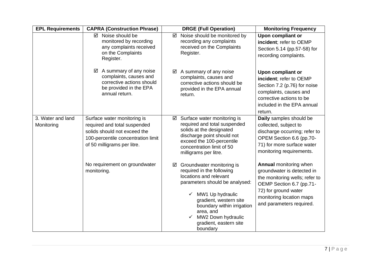| <b>EPL Requirements</b>         | <b>CAPRA (Construction Phrase)</b>                                                                                                                               | <b>DRGE (Full Operation)</b>                                                                                                                                                                                                                                                      | <b>Monitoring Frequency</b>                                                                                                                                                                               |
|---------------------------------|------------------------------------------------------------------------------------------------------------------------------------------------------------------|-----------------------------------------------------------------------------------------------------------------------------------------------------------------------------------------------------------------------------------------------------------------------------------|-----------------------------------------------------------------------------------------------------------------------------------------------------------------------------------------------------------|
|                                 | ☑ Noise should be<br>monitored by recording<br>any complaints received<br>on the Complaints<br>Register.                                                         | Noise should be monitored by<br>☑<br>recording any complaints<br>received on the Complaints<br>Register.                                                                                                                                                                          | Upon compliant or<br>incident; refer to OEMP<br>Section 5.14 (pp.57-58) for<br>recording complaints.                                                                                                      |
|                                 | A summary of any noise<br>☑<br>complaints, causes and<br>corrective actions should<br>be provided in the EPA<br>annual return.                                   | A summary of any noise<br>complaints, causes and<br>corrective actions should be<br>provided in the EPA annual<br>return.                                                                                                                                                         | <b>Upon compliant or</b><br>incident; refer to OEMP<br>Section 7.2 (p.76) for noise<br>complaints, causes and<br>corrective actions to be<br>included in the EPA annual<br>return.                        |
| 3. Water and land<br>Monitoring | Surface water monitoring is<br>required and total suspended<br>solids should not exceed the<br>100-percentile concentration limit<br>of 50 milligrams per litre. | Surface water monitoring is<br>☑<br>required and total suspended<br>solids at the designated<br>discharge point should not<br>exceed the 100-percentile<br>concentration limit of 50<br>milligrams per litre.                                                                     | Daily samples should be<br>collected, subject to<br>discharge occurring; refer to<br>OPEM Section 6.6 (pp.70-<br>71) for more surface water<br>monitoring requirements.                                   |
|                                 | No requirement on groundwater<br>monitoring.                                                                                                                     | Groundwater monitoring is<br>☑<br>required in the following<br>locations and relevant<br>parameters should be analysed:<br>MW1 Up hydraulic<br>✓<br>gradient, western site<br>boundary within irrigation<br>area, and<br>MW2 Down hydraulic<br>gradient, eastern site<br>boundary | <b>Annual monitoring when</b><br>groundwater is detected in<br>the monitoring wells; refer to<br>OEMP Section 6.7 (pp.71-<br>72) for ground water<br>monitoring location maps<br>and parameters required. |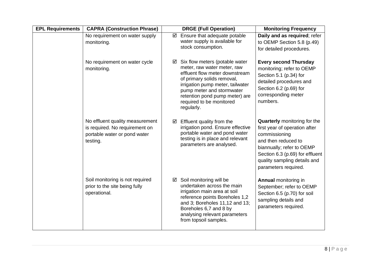| <b>EPL Requirements</b> | <b>CAPRA (Construction Phrase)</b>                                                                            | <b>DRGE (Full Operation)</b>                                                                                                                                                                                                                                                    | <b>Monitoring Frequency</b>                                                                                                                                                                                                          |
|-------------------------|---------------------------------------------------------------------------------------------------------------|---------------------------------------------------------------------------------------------------------------------------------------------------------------------------------------------------------------------------------------------------------------------------------|--------------------------------------------------------------------------------------------------------------------------------------------------------------------------------------------------------------------------------------|
|                         | No requirement on water supply<br>monitoring.                                                                 | Ensure that adequate potable<br>☑<br>water supply is available for<br>stock consumption.                                                                                                                                                                                        | Daily and as required; refer<br>to OEMP Section 5.8 (p.49)<br>for detailed procedures.                                                                                                                                               |
|                         | No requirement on water cycle<br>monitoring.                                                                  | Six flow meters (potable water<br>☑<br>meter, raw water meter, raw<br>effluent flow meter downstream<br>of primary solids removal,<br>irrigation pump meter, tailwater<br>pump meter and stormwater<br>retention pond pump meter) are<br>required to be monitored<br>regularly. | <b>Every second Thursday</b><br>monitoring; refer to OEMP<br>Section 5.1 (p.34) for<br>detailed procedures and<br>Section 6.2 (p.69) for<br>corresponding meter<br>numbers.                                                          |
|                         | No effluent quality measurement<br>is required. No requirement on<br>portable water or pond water<br>testing. | Effluent quality from the<br>☑<br>irrigation pond. Ensure effective<br>portable water and pond water<br>testing is in place and relevant<br>parameters are analysed.                                                                                                            | <b>Quarterly</b> monitoring for the<br>first year of operation after<br>commissioning<br>and then reduced to<br>biannually; refer to OEMP<br>Section 6.3 (p.69) for effluent<br>quality sampling details and<br>parameters required. |
|                         | Soil monitoring is not required<br>prior to the site being fully<br>operational.                              | Soil monitoring will be<br>☑<br>undertaken across the main<br>irrigation main area at soil<br>reference points Boreholes 1,2<br>and 3; Boreholes 11,12 and 13;<br>Boreholes 6,7 and 8 by<br>analysing relevant parameters<br>from topsoil samples.                              | <b>Annual monitoring in</b><br>September; refer to OEMP<br>Section 6.5 (p.70) for soil<br>sampling details and<br>parameters required.                                                                                               |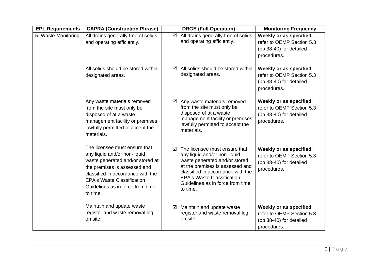| <b>EPL Requirements</b> | <b>CAPRA (Construction Phrase)</b>                                                                                                                                                                                                                          | <b>DRGE (Full Operation)</b>                                                                                                                                                                                                                                     | <b>Monitoring Frequency</b>                                                                    |
|-------------------------|-------------------------------------------------------------------------------------------------------------------------------------------------------------------------------------------------------------------------------------------------------------|------------------------------------------------------------------------------------------------------------------------------------------------------------------------------------------------------------------------------------------------------------------|------------------------------------------------------------------------------------------------|
| 5. Waste Monitoring     | All drains generally free of solids<br>and operating efficiently.                                                                                                                                                                                           | All drains generally free of solids<br>☑<br>and operating efficiently.                                                                                                                                                                                           | Weekly or as specified;<br>refer to OEMP Section 5.3<br>(pp.38-40) for detailed<br>procedures. |
|                         | All solids should be stored within<br>designated areas.                                                                                                                                                                                                     | All solids should be stored within<br>$\sqrt{}$<br>designated areas.                                                                                                                                                                                             | Weekly or as specified;<br>refer to OEMP Section 5.3<br>(pp.38-40) for detailed<br>procedures. |
|                         | Any waste materials removed<br>from the site must only be<br>disposed of at a waste<br>management facility or premises<br>lawfully permitted to accept the<br>materials.                                                                                    | Any waste materials removed<br>☑<br>from the site must only be<br>disposed of at a waste<br>management facility or premises<br>lawfully permitted to accept the<br>materials.                                                                                    | Weekly or as specified;<br>refer to OEMP Section 5.3<br>(pp.38-40) for detailed<br>procedures. |
|                         | The licensee must ensure that<br>any liquid and/or non-liquid<br>waste generated and/or stored at<br>the premises is assessed and<br>classified in accordance with the<br><b>EPA's Waste Classification</b><br>Guidelines as in force from time<br>to time. | The licensee must ensure that<br>☑<br>any liquid and/or non-liquid<br>waste generated and/or stored<br>at the premises is assessed and<br>classified in accordance with the<br><b>EPA's Waste Classification</b><br>Guidelines as in force from time<br>to time. | Weekly or as specified;<br>refer to OEMP Section 5.3<br>(pp.38-40) for detailed<br>procedures. |
|                         | Maintain and update waste<br>register and waste removal log<br>on site.                                                                                                                                                                                     | Maintain and update waste<br>☑<br>register and waste removal log<br>on site.                                                                                                                                                                                     | Weekly or as specified;<br>refer to OEMP Section 5.3<br>(pp.38-40) for detailed<br>procedures. |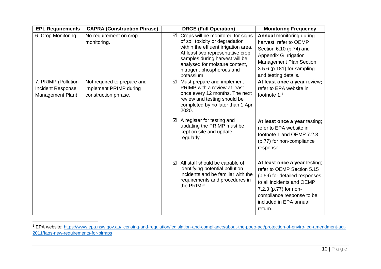| <b>EPL Requirements</b>                                      | <b>CAPRA (Construction Phrase)</b>                                            | <b>DRGE (Full Operation)</b>                                                                                                                                                                                                                                         | <b>Monitoring Frequency</b>                                                                                                                                                                                          |
|--------------------------------------------------------------|-------------------------------------------------------------------------------|----------------------------------------------------------------------------------------------------------------------------------------------------------------------------------------------------------------------------------------------------------------------|----------------------------------------------------------------------------------------------------------------------------------------------------------------------------------------------------------------------|
| 6. Crop Monitoring                                           | No requirement on crop<br>monitoring.                                         | Crops will be monitored for signs<br>☑<br>of soil toxicity or degradation<br>within the effluent irrigation area.<br>At least two representative crop<br>samples during harvest will be<br>analysed for moisture content,<br>nitrogen, phosphorous and<br>potassium. | <b>Annual monitoring during</b><br>harvest; refer to OEMP<br>Section 6.10 (p.74) and<br>Appendix G Irrigation<br><b>Management Plan Section</b><br>3.5.6 (p.181) for sampling<br>and testing details.                |
| 7. PRIMP (Pollution<br>Incident Response<br>Management Plan) | Not required to prepare and<br>implement PRIMP during<br>construction phrase. | Must prepare and implement<br>☑<br>PRIMP with a review at least<br>once every 12 months. The next<br>review and testing should be<br>completed by no later than 1 Apr<br>2020.                                                                                       | At least once a year review;<br>refer to EPA website in<br>footnote $11$                                                                                                                                             |
|                                                              |                                                                               | A register for testing and<br>☑<br>updating the PRIMP must be<br>kept on site and update<br>regularly.                                                                                                                                                               | At least once a year testing;<br>refer to EPA website in<br>footnote 1 and OEMP 7.2.3<br>(p.77) for non-compliance<br>response.                                                                                      |
|                                                              |                                                                               | All staff should be capable of<br>☑<br>identifying potential pollution<br>incidents and be familiar with the<br>requirements and procedures in<br>the PRIMP.                                                                                                         | At least once a year testing;<br>refer to OEMP Section 5.15<br>(p.59) for detailed responses<br>to all incidents and OEMP<br>7.2.3 (p.77) for non-<br>compliance response to be<br>included in EPA annual<br>return. |

<sup>1</sup> EPA website: [https://www.epa.nsw.gov.au/licensing-and-regulation/legislation-and-compliance/about-the-poeo-act/protection-of-enviro-leg-amendment-act-](https://www.epa.nsw.gov.au/licensing-and-regulation/legislation-and-compliance/about-the-poeo-act/protection-of-enviro-leg-amendment-act-2011/faqs-new-requirements-for-pirmps)[2011/faqs-new-requirements-for-pirmps](https://www.epa.nsw.gov.au/licensing-and-regulation/legislation-and-compliance/about-the-poeo-act/protection-of-enviro-leg-amendment-act-2011/faqs-new-requirements-for-pirmps)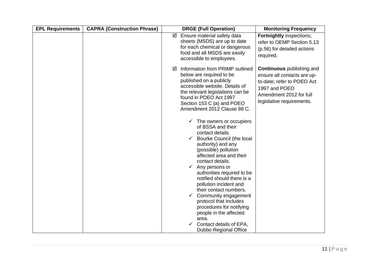| Ensure material safety data<br><b>Fortnightly inspections;</b><br>☑<br>sheets (MSDS) are up to date<br>refer to OEMP Section 5.13<br>for each chemical or dangerous<br>(p.56) for detailed actions<br>food and all MSDS are easily<br>required.<br>accessible to employees.<br><b>Continuous</b> publishing and<br>Information from PRIMP outlined<br>⋈<br>below are required to be<br>ensure all contacts are up-<br>published on a publicly<br>to-date; refer to POEO Act<br>accessible website. Details of<br>1997 and POEO<br>the relevant legislations can be<br>Amendment 2012 for full<br>found in POEO Act 1997<br>legislative requirements.<br>Section 153 C (a) and POEO<br>Amendment 2012 Clause 98 C.<br>$\checkmark$ The owners or occupiers<br>of BSSA and their<br>contact details.<br>$\checkmark$ Bourke Council (the local<br>authority) and any<br>(possible) pollution<br>affected area and their<br>contact details.<br>$\checkmark$ Any persons or<br>authorities required to be<br>notified should there is a<br>pollution incident and<br>their contact numbers.<br>Community engagement<br>✓<br>protocol that includes<br>procedures for notifying<br>people in the affected<br>area.<br>Contact details of EPA, | <b>EPL Requirements</b> | <b>CAPRA (Construction Phrase)</b> | <b>DRGE (Full Operation)</b> | <b>Monitoring Frequency</b> |
|-------------------------------------------------------------------------------------------------------------------------------------------------------------------------------------------------------------------------------------------------------------------------------------------------------------------------------------------------------------------------------------------------------------------------------------------------------------------------------------------------------------------------------------------------------------------------------------------------------------------------------------------------------------------------------------------------------------------------------------------------------------------------------------------------------------------------------------------------------------------------------------------------------------------------------------------------------------------------------------------------------------------------------------------------------------------------------------------------------------------------------------------------------------------------------------------------------------------------------------------|-------------------------|------------------------------------|------------------------------|-----------------------------|
|                                                                                                                                                                                                                                                                                                                                                                                                                                                                                                                                                                                                                                                                                                                                                                                                                                                                                                                                                                                                                                                                                                                                                                                                                                           |                         |                                    |                              |                             |
| Dubbo Regional Office                                                                                                                                                                                                                                                                                                                                                                                                                                                                                                                                                                                                                                                                                                                                                                                                                                                                                                                                                                                                                                                                                                                                                                                                                     |                         |                                    |                              |                             |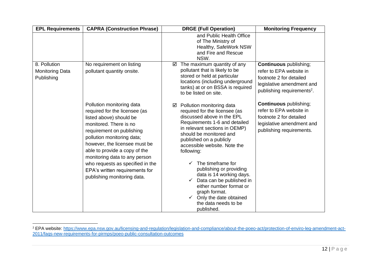| <b>EPL Requirements</b>                              | <b>CAPRA (Construction Phrase)</b>                                                                                                                                                                                                                                                                                                                                                 | <b>DRGE (Full Operation)</b>                                                                                                                                                                                                                                                                                                                                                                                                                                                            | <b>Monitoring Frequency</b>                                                                                                                                |
|------------------------------------------------------|------------------------------------------------------------------------------------------------------------------------------------------------------------------------------------------------------------------------------------------------------------------------------------------------------------------------------------------------------------------------------------|-----------------------------------------------------------------------------------------------------------------------------------------------------------------------------------------------------------------------------------------------------------------------------------------------------------------------------------------------------------------------------------------------------------------------------------------------------------------------------------------|------------------------------------------------------------------------------------------------------------------------------------------------------------|
|                                                      |                                                                                                                                                                                                                                                                                                                                                                                    | and Public Health Office<br>of The Ministry of<br>Healthy, SafeWork NSW<br>and Fire and Rescue<br>NSW.                                                                                                                                                                                                                                                                                                                                                                                  |                                                                                                                                                            |
| 8. Pollution<br><b>Monitoring Data</b><br>Publishing | No requirement on listing<br>pollutant quantity onsite.                                                                                                                                                                                                                                                                                                                            | The maximum quantity of any<br>☑<br>pollutant that is likely to be<br>stored or held at particular<br>locations (including underground<br>tanks) at or on BSSA is required<br>to be listed on site.                                                                                                                                                                                                                                                                                     | <b>Continuous</b> publishing;<br>refer to EPA website in<br>footnote 2 for detailed<br>legislative amendment and<br>publishing requirements <sup>2</sup> . |
|                                                      | Pollution monitoring data<br>required for the licensee (as<br>listed above) should be<br>monitored. There is no<br>requirement on publishing<br>pollution monitoring data;<br>however, the licensee must be<br>able to provide a copy of the<br>monitoring data to any person<br>who requests as specified in the<br>EPA's written requirements for<br>publishing monitoring data. | Pollution monitoring data<br>☑<br>required for the licensee (as<br>discussed above in the EPL<br>Requirements 1-6 and detailed<br>in relevant sections in OEMP)<br>should be monitored and<br>published on a publicly<br>accessible website. Note the<br>following:<br>The timeframe for<br>publishing or providing<br>data is 14 working days.<br>Data can be published in<br>either number format or<br>graph format.<br>Only the date obtained<br>the data needs to be<br>published. | <b>Continuous</b> publishing;<br>refer to EPA website in<br>footnote 2 for detailed<br>legislative amendment and<br>publishing requirements.               |

<sup>2</sup> EPA website: [https://www.epa.nsw.gov.au/licensing-and-regulation/legislation-and-compliance/about-the-poeo-act/protection-of-enviro-leg-amendment-act-](https://www.epa.nsw.gov.au/licensing-and-regulation/legislation-and-compliance/about-the-poeo-act/protection-of-enviro-leg-amendment-act-2011/faqs-new-requirements-for-pirmps/poeo-public-consultation-outcomes)[2011/faqs-new-requirements-for-pirmps/poeo-public-consultation-outcomes](https://www.epa.nsw.gov.au/licensing-and-regulation/legislation-and-compliance/about-the-poeo-act/protection-of-enviro-leg-amendment-act-2011/faqs-new-requirements-for-pirmps/poeo-public-consultation-outcomes)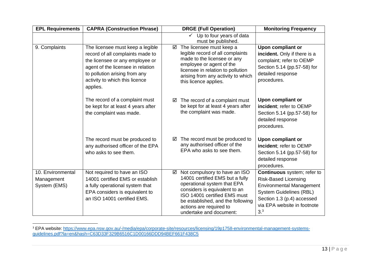| <b>EPL Requirements</b>                         | <b>CAPRA (Construction Phrase)</b>                                                                                                                                                                                          | <b>DRGE (Full Operation)</b>                                                                                                                                                                                                                                     | <b>Monitoring Frequency</b>                                                                                                                                                                                    |
|-------------------------------------------------|-----------------------------------------------------------------------------------------------------------------------------------------------------------------------------------------------------------------------------|------------------------------------------------------------------------------------------------------------------------------------------------------------------------------------------------------------------------------------------------------------------|----------------------------------------------------------------------------------------------------------------------------------------------------------------------------------------------------------------|
|                                                 |                                                                                                                                                                                                                             | Up to four years of data<br>$\checkmark$<br>must be published.                                                                                                                                                                                                   |                                                                                                                                                                                                                |
| 9. Complaints                                   | The licensee must keep a legible<br>record of all complaints made to<br>the licensee or any employee or<br>agent of the licensee in relation<br>to pollution arising from any<br>activity to which this licence<br>applies. | The licensee must keep a<br>☑<br>legible record of all complaints<br>made to the licensee or any<br>employee or agent of the<br>licensee in relation to pollution<br>arising from any activity to which<br>this licence applies.                                 | Upon compliant or<br>incident. Only if there is a<br>complaint; refer to OEMP<br>Section 5.14 (pp.57-58) for<br>detailed response<br>procedures.                                                               |
|                                                 | The record of a complaint must<br>be kept for at least 4 years after<br>the complaint was made.                                                                                                                             | The record of a complaint must<br>☑<br>be kept for at least 4 years after<br>the complaint was made.                                                                                                                                                             | Upon compliant or<br>incident; refer to OEMP<br>Section 5.14 (pp.57-58) for<br>detailed response<br>procedures.                                                                                                |
|                                                 | The record must be produced to<br>any authorised officer of the EPA<br>who asks to see them.                                                                                                                                | The record must be produced to<br>☑<br>any authorised officer of the<br>EPA who asks to see them.                                                                                                                                                                | Upon compliant or<br>incident; refer to OEMP<br>Section 5.14 (pp.57-58) for<br>detailed response<br>procedures.                                                                                                |
| 10. Environmental<br>Management<br>System (EMS) | Not required to have an ISO<br>14001 certified EMS or establish<br>a fully operational system that<br>EPA considers is equivalent to<br>an ISO 14001 certified EMS.                                                         | Not compulsory to have an ISO<br>☑<br>14001 certified EMS but a fully<br>operational system that EPA<br>considers is equivalent to an<br>ISO 14001 certified EMS must<br>be established, and the following<br>actions are required to<br>undertake and document: | Continuous system; refer to<br><b>Risk-Based Licensing</b><br><b>Environmental Management</b><br><b>System Guidelines (RBL)</b><br>Section 1.3 (p.4) accessed<br>via EPA website in footnote<br>3 <sup>3</sup> |

<sup>3</sup> EPA website: [https://www.epa.nsw.gov.au/-/media/epa/corporate-site/resources/licensing/19p1758-environmental-management-systems](https://www.epa.nsw.gov.au/-/media/epa/corporate-site/resources/licensing/19p1758-environmental-management-systems-guidelines.pdf?la=en&hash=C63D33F329B6516C1D00166DDD94BEF661F438C5)[guidelines.pdf?la=en&hash=C63D33F329B6516C1D00166DDD94BEF661F438C5](https://www.epa.nsw.gov.au/-/media/epa/corporate-site/resources/licensing/19p1758-environmental-management-systems-guidelines.pdf?la=en&hash=C63D33F329B6516C1D00166DDD94BEF661F438C5)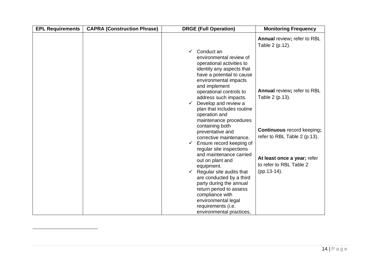| <b>EPL Requirements</b> | <b>CAPRA (Construction Phrase)</b> | <b>DRGE (Full Operation)</b>                                                                                                                                                                                                                                                                                 | <b>Monitoring Frequency</b>                                                                                         |
|-------------------------|------------------------------------|--------------------------------------------------------------------------------------------------------------------------------------------------------------------------------------------------------------------------------------------------------------------------------------------------------------|---------------------------------------------------------------------------------------------------------------------|
|                         |                                    | Conduct an<br>✓<br>environmental review of<br>operational activities to<br>identity any aspects that<br>have a potential to cause<br>environmental impacts<br>and implement                                                                                                                                  | Annual review; refer to RBL<br>Table 2 (p.12).                                                                      |
|                         |                                    | operational controls to<br>address such impacts.<br>Develop and review a<br>$\checkmark$<br>plan that includes routine<br>operation and<br>maintenance procedures<br>containing both<br>preventative and<br>corrective maintenance.<br>$\checkmark$ Ensure record keeping of                                 | Annual review; refer to RBL<br>Table 2 (p.13).<br><b>Continuous</b> record keeping;<br>refer to RBL Table 2 (p.13). |
|                         |                                    | regular site inspections<br>and maintenance carried<br>out on plant and<br>equipment.<br>$\checkmark$ Regular site audits that<br>are conducted by a third<br>party during the annual<br>return period to assess<br>compliance with<br>environmental legal<br>requirements (i.e.<br>environmental practices, | At least once a year; refer<br>to refer to RBL Table 2<br>(pp.13-14).                                               |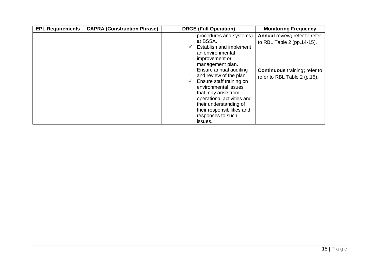| <b>EPL Requirements</b> | <b>CAPRA (Construction Phrase)</b> | <b>DRGE (Full Operation)</b>                                                                                                                                                                                                                                                                                                                             | <b>Monitoring Frequency</b>                                                                                                          |
|-------------------------|------------------------------------|----------------------------------------------------------------------------------------------------------------------------------------------------------------------------------------------------------------------------------------------------------------------------------------------------------------------------------------------------------|--------------------------------------------------------------------------------------------------------------------------------------|
|                         |                                    | procedures and systems)<br>at BSSA.<br>Establish and implement<br>v<br>an environmental<br>improvement or<br>management plan.<br>Ensure annual auditing<br>and review of the plan.<br>Ensure staff training on<br>✓<br>environmental issues<br>that may arise from<br>operational activities and<br>their understanding of<br>their responsibilities and | Annual review; refer to refer<br>to RBL Table 2 (pp. 14-15).<br><b>Continuous</b> training; refer to<br>refer to RBL Table 2 (p.15). |
|                         |                                    | responses to such<br>issues.                                                                                                                                                                                                                                                                                                                             |                                                                                                                                      |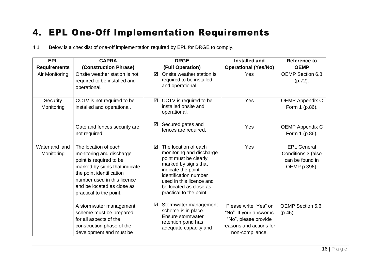#### 4. EPL One-Off Implementation Requirements

4.1 Below is a checklist of one-off implementation required by EPL for DRGE to comply.

<span id="page-15-0"></span>

| <b>EPL</b>                   | <b>CAPRA</b>                                                                                                                                                                                                                     | <b>DRGE</b>                                                                                                                                                                                                                            | <b>Installed and</b>                                                                                                   | <b>Reference to</b>                                                         |
|------------------------------|----------------------------------------------------------------------------------------------------------------------------------------------------------------------------------------------------------------------------------|----------------------------------------------------------------------------------------------------------------------------------------------------------------------------------------------------------------------------------------|------------------------------------------------------------------------------------------------------------------------|-----------------------------------------------------------------------------|
| <b>Requirements</b>          | (Construction Phrase)                                                                                                                                                                                                            | (Full Operation)                                                                                                                                                                                                                       | <b>Operational (Yes/No)</b>                                                                                            | <b>OEMP</b>                                                                 |
| Air Monitoring               | Onsite weather station is not<br>required to be installed and<br>operational.                                                                                                                                                    | Onsite weather station is<br>☑<br>required to be installed<br>and operational.                                                                                                                                                         | Yes                                                                                                                    | OEMP Section 6.8<br>$(p.72)$ .                                              |
| Security<br>Monitoring       | CCTV is not required to be<br>installed and operational.                                                                                                                                                                         | CCTV is required to be<br>☑<br>installed onsite and<br>operational.                                                                                                                                                                    | Yes                                                                                                                    | <b>OEMP Appendix C</b><br>Form 1 (p.86).                                    |
|                              | Gate and fences security are<br>not required.                                                                                                                                                                                    | Secured gates and<br>☑<br>fences are required.                                                                                                                                                                                         | Yes                                                                                                                    | <b>OEMP Appendix C</b><br>Form 1 (p.86).                                    |
| Water and land<br>Monitoring | The location of each<br>monitoring and discharge<br>point is required to be<br>marked by signs that indicate<br>the point identification<br>number used in this licence<br>and be located as close as<br>practical to the point. | The location of each<br>☑<br>monitoring and discharge<br>point must be clearly<br>marked by signs that<br>indicate the point<br>identification number<br>used in this licence and<br>be located as close as<br>practical to the point. | Yes                                                                                                                    | <b>EPL General</b><br>Conditions 3 (also<br>can be found in<br>OEMP p.396). |
|                              | A stormwater management<br>scheme must be prepared<br>for all aspects of the<br>construction phase of the<br>development and must be                                                                                             | Stormwater management<br>☑<br>scheme is in place.<br>Ensure stormwater<br>retention pond has<br>adequate capacity and                                                                                                                  | Please write "Yes" or<br>"No". If your answer is<br>"No", please provide<br>reasons and actions for<br>non-compliance. | <b>OEMP Section 5.6</b><br>(p.46)                                           |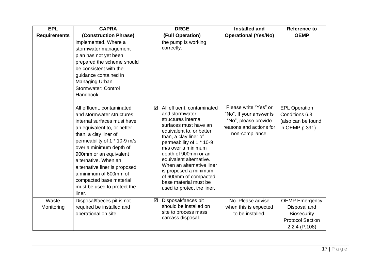| <b>EPL</b>          | <b>CAPRA</b>                                                                                                                                                                                                                                                                                                                                                                                                                                                                                                                                                                                               | <b>DRGE</b>                                                                                                                                                                                                                                                                                                                                                                                                                            | <b>Installed and</b>                                                                                                   | <b>Reference to</b>                                                            |
|---------------------|------------------------------------------------------------------------------------------------------------------------------------------------------------------------------------------------------------------------------------------------------------------------------------------------------------------------------------------------------------------------------------------------------------------------------------------------------------------------------------------------------------------------------------------------------------------------------------------------------------|----------------------------------------------------------------------------------------------------------------------------------------------------------------------------------------------------------------------------------------------------------------------------------------------------------------------------------------------------------------------------------------------------------------------------------------|------------------------------------------------------------------------------------------------------------------------|--------------------------------------------------------------------------------|
| <b>Requirements</b> | (Construction Phrase)                                                                                                                                                                                                                                                                                                                                                                                                                                                                                                                                                                                      | (Full Operation)                                                                                                                                                                                                                                                                                                                                                                                                                       | <b>Operational (Yes/No)</b>                                                                                            | <b>OEMP</b>                                                                    |
|                     | implemented. Where a<br>stormwater management<br>plan has not yet been<br>prepared the scheme should<br>be consistent with the<br>guidance contained in<br>Managing Urban<br>Stormwater: Control<br>Handbook.<br>All effluent, contaminated<br>and stormwater structures<br>internal surfaces must have<br>an equivalent to, or better<br>than, a clay liner of<br>permeability of 1 * 10-9 m/s<br>over a minimum depth of<br>900mm or an equivalent<br>alternative. When an<br>alternative liner is proposed<br>a minimum of 600mm of<br>compacted base material<br>must be used to protect the<br>liner. | the pump is working<br>correctly.<br>All effluent, contaminated<br>☑<br>and stormwater<br>structures internal<br>surfaces must have an<br>equivalent to, or better<br>than, a clay liner of<br>permeability of 1 * 10-9<br>m/s over a minimum<br>depth of 900mm or an<br>equivalent alternative.<br>When an alternative liner<br>is proposed a minimum<br>of 600mm of compacted<br>base material must be<br>used to protect the liner. | Please write "Yes" or<br>"No". If your answer is<br>"No", please provide<br>reasons and actions for<br>non-compliance. | <b>EPL Operation</b><br>Conditions 6.3<br>(also can be found<br>in OEMP p.391) |
| Waste               | Disposal/faeces pit is not                                                                                                                                                                                                                                                                                                                                                                                                                                                                                                                                                                                 | Disposal/faeces pit<br>☑                                                                                                                                                                                                                                                                                                                                                                                                               | No. Please advise                                                                                                      | <b>OEMP</b> Emergency                                                          |
| Monitoring          | required be installed and                                                                                                                                                                                                                                                                                                                                                                                                                                                                                                                                                                                  | should be installed on                                                                                                                                                                                                                                                                                                                                                                                                                 | when this is expected                                                                                                  | Disposal and                                                                   |
|                     | operational on site.                                                                                                                                                                                                                                                                                                                                                                                                                                                                                                                                                                                       | site to process mass                                                                                                                                                                                                                                                                                                                                                                                                                   | to be installed.                                                                                                       | <b>Biosecurity</b>                                                             |
|                     |                                                                                                                                                                                                                                                                                                                                                                                                                                                                                                                                                                                                            | carcass disposal.                                                                                                                                                                                                                                                                                                                                                                                                                      |                                                                                                                        | <b>Protocol Section</b>                                                        |
|                     |                                                                                                                                                                                                                                                                                                                                                                                                                                                                                                                                                                                                            |                                                                                                                                                                                                                                                                                                                                                                                                                                        |                                                                                                                        | 2.2.4 (P.108)                                                                  |